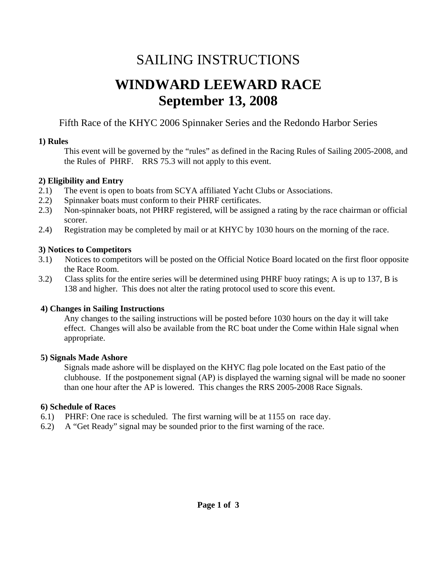# SAILING INSTRUCTIONS

# **WINDWARD LEEWARD RACE September 13, 2008**

Fifth Race of the KHYC 2006 Spinnaker Series and the Redondo Harbor Series

## **1) Rules**

 This event will be governed by the "rules" as defined in the Racing Rules of Sailing 2005-2008, and the Rules of PHRF. RRS 75.3 will not apply to this event.

# **2) Eligibility and Entry**

- 2.1) The event is open to boats from SCYA affiliated Yacht Clubs or Associations.
- 2.2) Spinnaker boats must conform to their PHRF certificates.
- 2.3) Non-spinnaker boats, not PHRF registered, will be assigned a rating by the race chairman or official scorer.
- 2.4) Registration may be completed by mail or at KHYC by 1030 hours on the morning of the race.

# **3) Notices to Competitors**

- 3.1) Notices to competitors will be posted on the Official Notice Board located on the first floor opposite the Race Room.
- 3.2) Class splits for the entire series will be determined using PHRF buoy ratings; A is up to 137, B is 138 and higher. This does not alter the rating protocol used to score this event.

# **4) Changes in Sailing Instructions**

Any changes to the sailing instructions will be posted before 1030 hours on the day it will take effect. Changes will also be available from the RC boat under the Come within Hale signal when appropriate.

# **5) Signals Made Ashore**

 Signals made ashore will be displayed on the KHYC flag pole located on the East patio of the clubhouse. If the postponement signal (AP) is displayed the warning signal will be made no sooner than one hour after the AP is lowered. This changes the RRS 2005-2008 Race Signals.

# **6) Schedule of Races**

- 6.1) PHRF: One race is scheduled. The first warning will be at 1155 on race day.
- 6.2) A "Get Ready" signal may be sounded prior to the first warning of the race.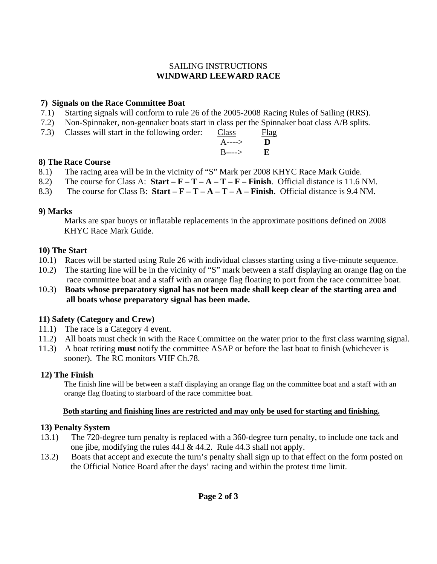## SAILING INSTRUCTIONS **WINDWARD LEEWARD RACE**

## **7) Signals on the Race Committee Boat**

- 7.1) Starting signals will conform to rule 26 of the 2005-2008 Racing Rules of Sailing (RRS).
- 7.2) Non-Spinnaker, non-gennaker boats start in class per the Spinnaker boat class A/B splits.<br>7.3) Classes will start in the following order: Class Flag
- 7.3) Classes will start in the following order:

| $(0.3)$ Classes will start in the following order. Class |                            | $\Box a$ |
|----------------------------------------------------------|----------------------------|----------|
|                                                          | $A \rightarrow \mathbf{D}$ |          |
|                                                          | $B$ ----> $E$              |          |

## **8) The Race Course**

- 8.1) The racing area will be in the vicinity of "S" Mark per 2008 KHYC Race Mark Guide.
- 8.2) The course for Class A: **Start F T A T F Finish**. Official distance is 11.6 NM.
- 8.3) The course for Class B: **Start F T A T A Finish**. Official distance is 9.4 NM.

## **9) Marks**

 Marks are spar buoys or inflatable replacements in the approximate positions defined on 2008 KHYC Race Mark Guide.

## **10) The Start**

- 10.1) Races will be started using Rule 26 with individual classes starting using a five-minute sequence.
- 10.2) The starting line will be in the vicinity of "S" mark between a staff displaying an orange flag on the race committee boat and a staff with an orange flag floating to port from the race committee boat.
- 10.3) **Boats whose preparatory signal has not been made shall keep clear of the starting area and all boats whose preparatory signal has been made.**

# **11) Safety (Category and Crew)**

- 11.1) The race is a Category 4 event.
- 11.2) All boats must check in with the Race Committee on the water prior to the first class warning signal.
- 11.3) A boat retiring **must** notify the committee ASAP or before the last boat to finish (whichever is sooner). The RC monitors VHF Ch.78.

## **12) The Finish**

 The finish line will be between a staff displaying an orange flag on the committee boat and a staff with an orange flag floating to starboard of the race committee boat.

## **Both starting and finishing lines are restricted and may only be used for starting and finishing.**

# **13) Penalty System**

- 13.1) The 720-degree turn penalty is replaced with a 360-degree turn penalty, to include one tack and one jibe, modifying the rules 44.l & 44.2. Rule 44.3 shall not apply.
- 13.2) Boats that accept and execute the turn's penalty shall sign up to that effect on the form posted on the Official Notice Board after the days' racing and within the protest time limit.